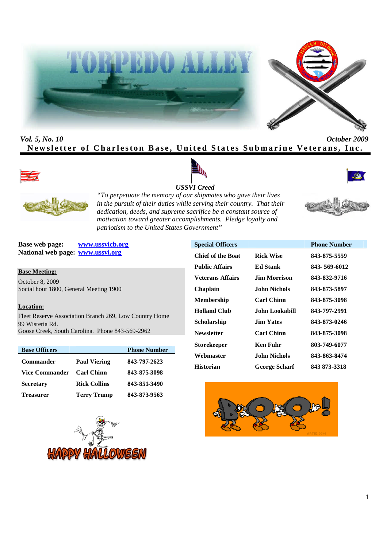



*Vol. 5, No. 10 October 2009* **Newsletter of Charleston Base, United States Submarine Veterans, Inc.** 









*"To perpetuate the memory of our shipmates who gave their lives in the pursuit of their duties while serving their country. That their dedication, deeds, and supreme sacrifice be a constant source of motivation toward greater accomplishments. Pledge loyalty and patriotism to the United States Government"*

**Base web page: www.ussvicb.org National web page: www.ussvi.org**

**Base Meeting:**

October 8, 2009 Social hour 1800, General Meeting 1900

# **Location:**

Fleet Reserve Association Branch 269, Low Country Home 99 Wisteria Rd. Goose Creek, South Carolina. Phone 843-569-2962

| <b>Base Officers</b> |                     | <b>Phone Number</b> |
|----------------------|---------------------|---------------------|
| <b>Commander</b>     | <b>Paul Viering</b> | 843-797-2623        |
| Vice Commander       | <b>Carl Chinn</b>   | 843-875-3098        |
| <b>Secretary</b>     | <b>Rick Collins</b> | 843-851-3490        |
| <b>Treasurer</b>     | <b>Terry Trump</b>  | 843-873-9563        |



| <b>Special Officers</b>  |                      | <b>Phone Number</b> |
|--------------------------|----------------------|---------------------|
| <b>Chief of the Boat</b> | <b>Rick Wise</b>     | 843-875-5559        |
| <b>Public Affairs</b>    | <b>Ed Stank</b>      | 843-569-6012        |
| <b>Veterans Affairs</b>  | Jim Morrison         | 843-832-9716        |
| <b>Chaplain</b>          | John Nichols         | 843-873-5897        |
| <b>Membership</b>        | <b>Carl Chinn</b>    | 843-875-3098        |
| <b>Holland Club</b>      | John Lookabill       | 843-797-2991        |
| Scholarship              | <b>Jim Yates</b>     | 843-873-0246        |
| <b>Newsletter</b>        | <b>Carl Chinn</b>    | 843-875-3098        |
| <b>Storekeeper</b>       | Ken Fuhr             | 803-749-6077        |
| Webmaster                | John Nichols         | 843-863-8474        |
| <b>Historian</b>         | <b>George Scharf</b> | 843 873-3318        |

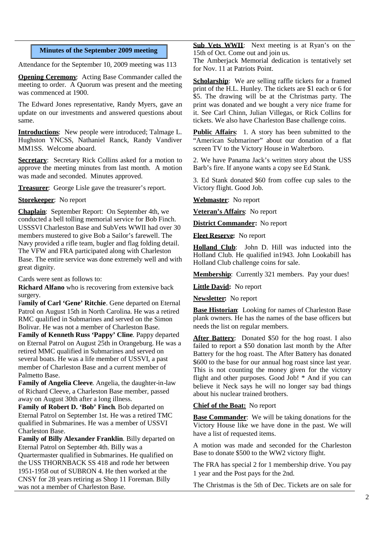# **Minutes of the September 2009 meeting**

Attendance for the September 10, 2009 meeting was 113

**Opening Ceremony:** Acting Base Commander called the meeting to order. A Quorum was present and the meeting was commenced at 1900.

The Edward Jones representative, Randy Myers, gave an update on our investments and answered questions about same.

**Introductions**: New people were introduced; Talmage L. Hughston YNCSS, Nathaniel Ranck, Randy Vandiver MM1SS. Welcome aboard.

**Secretary:** Secretary Rick Collins asked for a motion to approve the meeting minutes from last month. A motion was made and seconded. Minutes approved.

**Treasurer**: George Lisle gave the treasurer's report.

**Storekeeper**: No report

**Chaplain**: September Report: On September 4th, we conducted a bell tolling memorial service for Bob Finch. USSSVI Charleston Base and SubVets WWII had over 30 members mustered to give Bob a Sailor's farewell. The Navy provided a rifle team, bugler and flag folding detail. The VFW and FRA participated along with Charleston Base. The entire service was done extremely well and with great dignity.

Cards were sent as follows to:

**Richard Alfano** who is recovering from extensive back surgery.

F**amily of Carl 'Gene' Ritchie**. Gene departed on Eternal Patrol on August 15th in North Carolina. He was a retired RMC qualified in Submarines and served on the Simon Bolivar. He was not a member of Charleston Base.

**Family of Kenneth Russ 'Pappy' Cline**. Pappy departed on Eternal Patrol on August 25th in Orangeburg. He was a retired MMC qualified in Submarines and served on several boats. He was a life member of USSVI, a past member of Charleston Base and a current member of Palmetto Base.

**Family of Angelia Cleeve**. Angelia, the daughter-in-law of Richard Cleeve, a Charleston Base member, passed away on August 30th after a long illness.

**Family of Robert D. 'Bob' Finch**. Bob departed on Eternal Patrol on September 1st. He was a retired TMC qualified in Submarines. He was a member of USSVI Charleston Base.

**Family of Billy Alexander Franklin**. Billy departed on Eternal Patrol on September 4th. Billy was a Quartermaster qualified in Submarines. He qualified on the USS THORNBACK SS 418 and rode her between 1951-1958 out of SUBRON 4. He then worked at the CNSY for 28 years retiring as Shop 11 Foreman. Billy was not a member of Charleston Base.

**Sub Vets WWII**: Next meeting is at Ryan's on the 15th of Oct. Come out and join us.

The Amberjack Memorial dedication is tentatively set for Nov. 11 at Patriots Point.

**Scholarship**: We are selling raffle tickets for a framed print of the H.L. Hunley. The tickets are \$1 each or 6 for \$5. The drawing will be at the Christmas party. The print was donated and we bought a very nice frame for it. See Carl Chinn, Julian Villegas, or Rick Collins for tickets. We also have Charleston Base challenge coins.

**Public Affairs**: 1. A story has been submitted to the "American Submariner" about our donation of a flat screen TV to the Victory House in Walterboro.

2. We have Panama Jack's written story about the USS Barb's fire. If anyone wants a copy see Ed Stank.

3. Ed Stank donated \$60 from coffee cup sales to the Victory flight. Good Job.

**Webmaster**: No report

**Veteran's Affairs**: No report

**District Commander:** No report

**Fleet Reserve:** No report

**Holland Club**: John D. Hill was inducted into the Holland Club. He qualified in1943. John Lookabill has Holland Club challenge coins for sale.

**Membership**: Currently 321 members. Pay your dues!

**Little David:** No report

**Newsletter:** No report

**Base Historian**: Looking for names of Charleston Base plank owners. He has the names of the base officers but needs the list on regular members.

**After Battery**: Donated \$50 for the hog roast. I also failed to report a \$50 donation last month by the After Battery for the hog roast. The After Battery has donated \$600 to the base for our annual hog roast since last year. This is not counting the money given for the victory flight and other purposes. Good Job! \* And if you can believe it Neck says he will no longer say bad things about his nuclear trained brothers.

#### **Chief of the Boat:** No report

**Base Commander**: We will be taking donations for the Victory House like we have done in the past. We will have a list of requested items.

A motion was made and seconded for the Charleston Base to donate \$500 to the WW2 victory flight.

The FRA has special 2 for 1 membership drive. You pay 1 year and the Post pays for the 2nd.

The Christmas is the 5th of Dec. Tickets are on sale for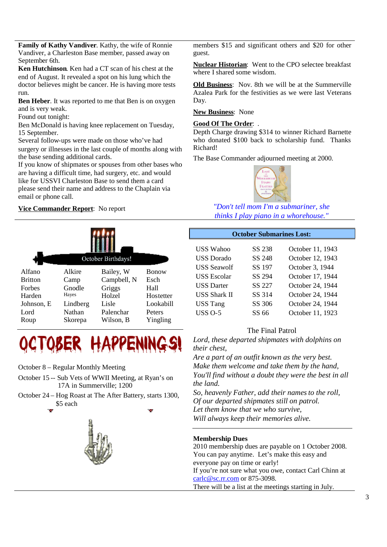**Family of Kathy Vandiver**. Kathy, the wife of Ronnie Vandiver, a Charleston Base member, passed away on September 6th.

**Ken Hutchinson**. Ken had a CT scan of his chest at the end of August. It revealed a spot on his lung which the doctor believes might be cancer. He is having more tests run.

**Ben Heber**. It was reported to me that Ben is on oxygen and is very weak.

Found out tonight:

Ben McDonald is having knee replacement on Tuesday, 15 September.

Several follow-ups were made on those who've had surgery or illnesses in the last couple of months along with the base sending additional cards.

If you know of shipmates or spouses from other bases who are having a difficult time, had surgery, etc. and would like for USSVI Charleston Base to send them a card please send their name and address to the Chaplain via email or phone call.

# **Vice Commander Report**: No report





October 8 – Regular Monthly Meeting

- October 15 -- Sub Vets of WWII Meeting, at Ryan's on 17A in Summerville; 1200
- October 24 Hog Roast at The After Battery, starts 1300, \$5 each



members \$15 and significant others and \$20 for other guest.

**Nuclear Historian**: Went to the CPO selectee breakfast where I shared some wisdom.

**Old Business**: Nov. 8th we will be at the Summerville Azalea Park for the festivities as we were last Veterans Day.

**New Business**: None

## **Good Of The Order**: .

Depth Charge drawing \$314 to winner Richard Barnette who donated \$100 back to scholarship fund. Thanks Richard!

The Base Commander adjourned meeting at 2000.



*"Don't tell mom I'm a submariner, she thinks I play piano in a whorehouse."*

# **October Submarines Lost:**

| SS 238 | October 11, 1943 |
|--------|------------------|
| SS 248 | October 12, 1943 |
| SS 197 | October 3, 1944  |
| SS 294 | October 17, 1944 |
| SS 227 | October 24, 1944 |
| SS 314 | October 24, 1944 |
| SS 306 | October 24, 1944 |
| SS 66  | October 11, 1923 |
|        |                  |

# The Final Patrol

*Lord, these departed shipmates with dolphins on their chest,*

*Are a part of an outfit known as the very best. Make them welcome and take them by the hand, You'll find without a doubt they were the best in all the land.*

*So, heavenly Father, add their namesto the roll, Of our departed shipmates still on patrol. Let them know that we who survive, Will always keep their memories alive.*

# **Membership Dues**

2010 membership dues are payable on 1 October 2008. You can pay anytime. Let's make this easy and everyone pay on time or early! If you're not sure what you owe, contact Carl Chinn at carlc@sc.rr.com or 875-3098. There will be a list at the meetings starting in July.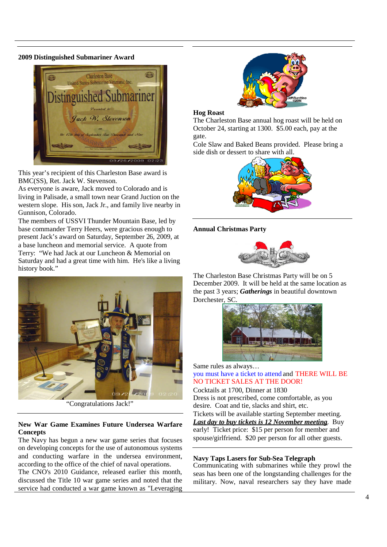#### **2009 Distinguished Submariner Award**



This year's recipient of this Charleston Base award is BMC(SS), Ret. Jack W. Stevenson.

As everyone is aware, Jack moved to Colorado and is living in Palisade, a small town near Grand Juction on the western slope. His son, Jack Jr., and family live nearby in Gunnison, Colorado.

The members of USSVI Thunder Mountain Base, led by base commander Terry Heers, were gracious enough to present Jack's award on Saturday, September 26, 2009, at a base luncheon and memorial service. A quote from Terry: "We had Jack at our Luncheon & Memorial on Saturday and had a great time with him. He's like a living history book."



"Congratulations Jack!"

## **New War Game Examines Future Undersea Warfare Concepts**

The Navy has begun a new war game series that focuses on developing concepts for the use of autonomous systems and conducting warfare in the undersea environment, according to the office of the chief of naval operations.

The CNO's 2010 Guidance, released earlier this month, discussed the Title 10 war game series and noted that the service had conducted a war game known as "Leveraging



#### **Hog Roast**

The Charleston Base annual hog roast will be held on October 24, starting at 1300. \$5.00 each, pay at the gate.

Cole Slaw and Baked Beans provided. Please bring a side dish or dessert to share with all.



**Annual Christmas Party**



The Charleston Base Christmas Party will be on 5 December 2009. It will be held at the same location as the past 3 years; *Gatherings* in beautiful downtown Dorchester, SC.



Same rules as always… you must have a ticket to attend and THERE WILL BE NO TICKET SALES AT THE DOOR!

Cocktails at 1700, Dinner at 1830 Dress is not prescribed, come comfortable, as you desire. Coat and tie, slacks and shirt, etc.

Tickets will be available starting September meeting. *Last day to buy tickets is 12 November meeting*. Buy early! Ticket price: \$15 per person for member and spouse/girlfriend. \$20 per person for all other guests.

#### **Navy Taps Lasers for Sub-Sea Telegraph**

Communicating with submarines while they prowl the seas has been one of the longstanding challenges for the military. Now, naval researchers say they have made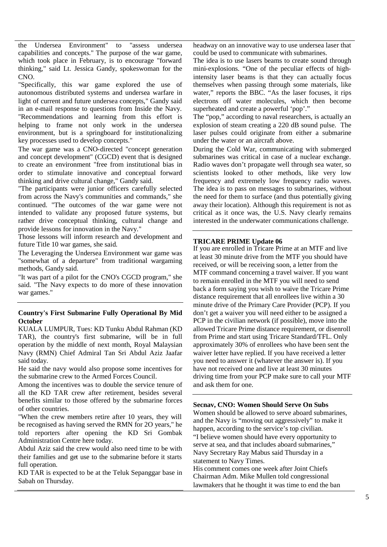the Undersea Environment" to "assess undersea capabilities and concepts." The purpose of the war game, which took place in February, is to encourage "forward thinking," said Lt. Jessica Gandy, spokeswoman for the CNO.

"Specifically, this war game explored the use of autonomous distributed systems and undersea warfare in light of current and future undersea concepts," Gandy said in an e-mail response to questions from Inside the Navy. "Recommendations and learning from this effort is helping to frame not only work in the undersea environment, but is a springboard for institutionalizing key processes used to develop concepts."

The war game was a CNO-directed "concept generation and concept development" (CGCD) event that is designed to create an environment "free from institutional bias in order to stimulate innovative and conceptual forward thinking and drive cultural change," Gandy said.

"The participants were junior officers carefully selected from across the Navy's communities and commands," she continued. "The outcomes of the war game were not intended to validate any proposed future systems, but rather drive conceptual thinking, cultural change and provide lessons for innovation in the Navy."

Those lessons will inform research and development and future Title 10 war games, she said.

The Leveraging the Undersea Environment war game was "somewhat of a departure" from traditional wargaming methods, Gandy said.

"It was part of a pilot for the CNO's CGCD program," she said. "The Navy expects to do more of these innovation war games."

# **Country's First Submarine Fully Operational By Mid October**

KUALA LUMPUR, Tues: KD Tunku Abdul Rahman (KD TAR), the country's first submarine, will be in full operation by the middle of next month, Royal Malaysian Navy (RMN) Chief Admiral Tan Sri Abdul Aziz Jaafar said today.

He said the navy would also propose some incentives for the submarine crew to the Armed Forces Council.

Among the incentives was to double the service tenure of all the KD TAR crew after retirement, besides several benefits similar to those offered by the submarine forces of other countries.

"When the crew members retire after 10 years, they will be recognised as having served the RMN for 2O years," he told reporters after opening the KD Sri Gombak Administration Centre here today.

Abdul Aziz said the crew would also need time to be with their families and get use to the submarine before it starts full operation.

KD TAR is expected to be at the Teluk Sepanggar base in Sabah on Thursday.

headway on an innovative way to use undersea laser that could be used to communicate with submarines.

The idea is to use lasers beams to create sound through mini-explosions. "One of the peculiar effects of highintensity laser beams is that they can actually focus themselves when passing through some materials, like water," reports the BBC. "As the laser focuses, it rips electrons off water molecules, which then become superheated and create a powerful 'pop'."

The "pop," according to naval researchers, is actually an explosion of steam creating a 220 dB sound pulse. The laser pulses could originate from either a submarine under the water or an aircraft above.

During the Cold War, communicating with submerged submarines was critical in case of a nuclear exchange. Radio waves don't propagate well through sea water, so scientists looked to other methods, like very low frequency and extremely low frequency radio waves. The idea is to pass on messages to submarines, without the need for them to surface (and thus potentially giving away their location). Although this requirement is not as critical as it once was, the U.S. Navy clearly remains interested in the underwater communications challenge.

### **TRICARE PRIME Update 06**

If you are enrolled in Tricare Prime at an MTF and live at least 30 minute drive from the MTF you should have received, or will be receiving soon, a letter from the MTF command concerning a travel waiver. If you want to remain enrolled in the MTF you will need to send back a form saying you wish to waive the Tricare Prime distance requirement that all enrollees live within a 30 minute drive of the Primary Care Provider (PCP). If you don't get a waiver you will need either to be assigned a PCP in the civilian network (if possible), move into the allowed Tricare Prime distance requirement, or disenroll from Prime and start using Tricare Standard/TFL. Only approximately 30% of enrollees who have been sent the waiver letter have replied. If you have received a letter you need to answer it (whatever the answer is). If you have not received one and live at least 30 minutes driving time from your PCP make sure to call your MTF and ask them for one.

### **Secnav, CNO: Women Should Serve On Subs**

Women should be allowed to serve aboard submarines, and the Navy is "moving out aggressively" to make it happen, according to the service's top civilian. "I believe women should have every opportunity to serve at sea, and that includes aboard submarines," Navy Secretary Ray Mabus said Thursday in a statement to Navy Times.

His comment comes one week after Joint Chiefs Chairman Adm. Mike Mullen told congressional lawmakers that he thought it was time to end the ban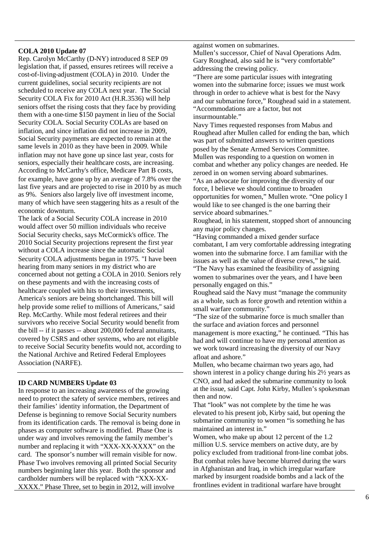#### **COLA 2010 Update 07**

Rep. Carolyn McCarthy (D-NY) introduced 8 SEP 09 legislation that, if passed, ensures retirees will receive a cost-of-living-adjustment (COLA) in 2010. Under the current guidelines, social security recipients are not scheduled to receive any COLA next year. The Social Security COLA Fix for 2010 Act (H.R.3536) will help seniors offset the rising costs that they face by providing them with a one-time \$150 payment in lieu of the Social Security COLA. Social Security COLAs are based on inflation, and since inflation did not increase in 2009, Social Security payments are expected to remain at the same levels in 2010 as they have been in 2009. While inflation may not have gone up since last year, costs for seniors, especially their healthcare costs, are increasing. According to McCarthy's office, Medicare Part B costs, for example, have gone up by an average of 7.8% over the last five years and are projected to rise in 2010 by as much as 9%. Seniors also largely live off investment income, many of which have seen staggering hits as a result of the economic downturn.

The lack of a Social Security COLA increase in 2010 would affect over 50 million individuals who receive Social Security checks, says McCormick's office. The 2010 Social Security projections represent the first year without a COLA increase since the automatic Social Security COLA adjustments began in 1975. "I have been hearing from many seniors in my district who are concerned about not getting a COLA in 2010. Seniors rely on these payments and with the increasing costs of healthcare coupled with hits to their investments, America's seniors are being shortchanged. This bill will help provide some relief to millions of Americans," said Rep. McCarthy. While most federal retirees and their survivors who receive Social Security would benefit from the bill -- if it passes -- about 200,000 federal annuitants, covered by CSRS and other systems, who are not eligible to receive Social Security benefits would not, according to the National Archive and Retired Federal Employees Association (NARFE).

# **ID CARD NUMBERS Update 03**

In response to an increasing awareness of the growing need to protect the safety of service members, retirees and their families' identity information, the Department of Defense is beginning to remove Social Security numbers from its identification cards. The removal is being done in phases as computer software is modified. Phase One is under way and involves removing the family member's number and replacing it with "XXX-XX-XXXX" on the card. The sponsor's number will remain visible for now. Phase Two involves removing all printed Social Security numbers beginning later this year. Both the sponsor and cardholder numbers will be replaced with "XXX-XX-XXXX." Phase Three, set to begin in 2012, will involve

#### against women on submarines.

Mullen's successor, Chief of Naval Operations Adm. Gary Roughead, also said he is "very comfortable" addressing the crewing policy.

"There are some particular issues with integrating women into the submarine force; issues we must work through in order to achieve what is best for the Navy and our submarine force," Roughead said in a statement. "Accommodations are a factor, but not insurmountable."

Navy Times requested responses from Mabus and Roughead after Mullen called for ending the ban, which was part of submitted answers to written questions posed by the Senate Armed Services Committee. Mullen was responding to a question on women in combat and whether any policy changes are needed. He zeroed in on women serving aboard submarines. "As an advocate for improving the diversity of our force, I believe we should continue to broaden opportunities for women," Mullen wrote. "One policy I would like to see changed is the one barring their service aboard submarines."

Roughead, in his statement, stopped short of announcing any major policy changes.

"Having commanded a mixed gender surface combatant, I am very comfortable addressing integrating women into the submarine force. I am familiar with the issues as well as the value of diverse crews," he said.

"The Navy has examined the feasibility of assigning women to submarines over the years, and I have been personally engaged on this."

Roughead said the Navy must "manage the community as a whole, such as force growth and retention within a small warfare community."

"The size of the submarine force is much smaller than the surface and aviation forces and personnel management is more exacting," he continued. "This has had and will continue to have my personal attention as we work toward increasing the diversity of our Navy afloat and ashore."

Mullen, who became chairman two years ago, had shown interest in a policy change during his 2½ years as CNO, and had asked the submarine community to look at the issue, said Capt. John Kirby, Mullen's spokesman then and now.

That "look" was not complete by the time he was elevated to his present job, Kirby said, but opening the submarine community to women "is something he has maintained an interest in."

Women, who make up about 12 percent of the 1.2 million U.S. service members on active duty, are by policy excluded from traditional front-line combat jobs. But combat roles have become blurred during the wars in Afghanistan and Iraq, in which irregular warfare marked by insurgent roadside bombs and a lack of the frontlines evident in traditional warfare have brought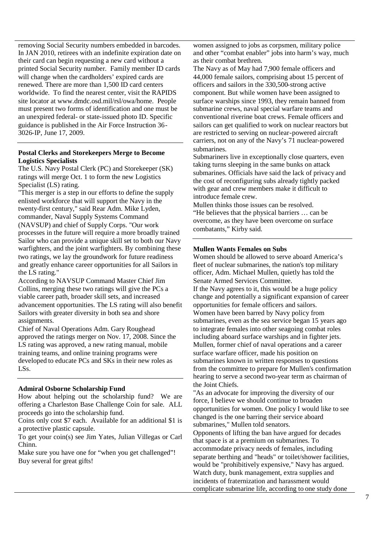removing Social Security numbers embedded in barcodes. In JAN 2010, retirees with an indefinite expiration date on their card can begin requesting a new card without a printed Social Security number. Family member ID cards will change when the cardholders' expired cards are renewed. There are more than 1,500 ID card centers worldwide. To find the nearest center, visit the RAPIDS site locator at www.dmdc.osd.mil/rsl/owa/home. People must present two forms of identification and one must be an unexpired federal- or state-issued photo ID. Specific guidance is published in the Air Force Instruction 36- 3026-IP, June 17, 2009.

## **Postal Clerks and Storekeepers Merge to Become Logistics Specialists**

The U.S. Navy Postal Clerk (PC) and Storekeeper (SK) ratings will merge Oct. 1 to form the new Logistics Specialist (LS) rating.

"This merger is a step in our efforts to define the supply enlisted workforce that will support the Navy in the twenty-first century," said Rear Adm. Mike Lyden, commander, Naval Supply Systems Command (NAVSUP) and chief of Supply Corps. "Our work processes in the future will require a more broadly trained Sailor who can provide a unique skill set to both our Navy warfighters, and the joint warfighters. By combining these two ratings, we lay the groundwork for future readiness and greatly enhance career opportunities for all Sailors in the LS rating."

According to NAVSUP Command Master Chief Jim Collins, merging these two ratings will give the PCs a viable career path, broader skill sets, and increased advancement opportunities. The LS rating will also benefit Sailors with greater diversity in both sea and shore assignments.

Chief of Naval Operations Adm. Gary Roughead approved the ratings merger on Nov. 17, 2008. Since the LS rating was approved, a new rating manual, mobile training teams, and online training programs were developed to educate PCs and SKs in their new roles as LSs.

# **Admiral Osborne Scholarship Fund**

How about helping out the scholarship fund? We are offering a Charleston Base Challenge Coin for sale. ALL proceeds go into the scholarship fund.

Coins only cost \$7 each. Available for an additional \$1 is a protective plastic capsule.

To get your coin(s) see Jim Yates, Julian Villegas or Carl Chinn.

Make sure you have one for "when you get challenged"! Buy several for great gifts!

women assigned to jobs as corpsmen, military police and other "combat enabler" jobs into harm's way, much as their combat brethren.

The Navy as of May had 7,900 female officers and 44,000 female sailors, comprising about 15 percent of officers and sailors in the 330,500-strong active component. But while women have been assigned to surface warships since 1993, they remain banned from submarine crews, naval special warfare teams and conventional riverine boat crews. Female officers and sailors can get qualified to work on nuclear reactors but are restricted to serving on nuclear-powered aircraft carriers, not on any of the Navy's 71 nuclear-powered submarines.

Submariners live in exceptionally close quarters, even taking turns sleeping in the same bunks on attack submarines. Officials have said the lack of privacy and the cost of reconfiguring subs already tightly packed with gear and crew members make it difficult to introduce female crew.

Mullen thinks those issues can be resolved. "He believes that the physical barriers … can be overcome, as they have been overcome on surface combatants," Kirby said.

#### **Mullen Wants Females on Subs**

Women should be allowed to serve aboard America's fleet of nuclear submarines, the nation's top military officer, Adm. Michael Mullen, quietly has told the Senate Armed Services Committee.

If the Navy agrees to it, this would be a huge policy change and potentially a significant expansion of career opportunities for female officers and sailors. Women have been barred by Navy policy from submarines, even as the sea service began 15 years ago to integrate females into other seagoing combat roles including aboard surface warships and in fighter jets. Mullen, former chief of naval operations and a career surface warfare officer, made his position on submarines known in written responses to questions from the committee to prepare for Mullen's confirmation hearing to serve a second two-year term as chairman of the Joint Chiefs.

"As an advocate for improving the diversity of our force, I believe we should continue to broaden opportunities for women. One policy I would like to see changed is the one barring their service aboard submarines," Mullen told senators.

Opponents of lifting the ban have argued for decades that space is at a premium on submarines. To accommodate privacy needs of females, including separate berthing and "heads" or toilet/shower facilities, would be "prohibitively expensive," Navy has argued. Watch duty, bunk management, extra supplies and incidents of fraternization and harassment would complicate submarine life, according to one study done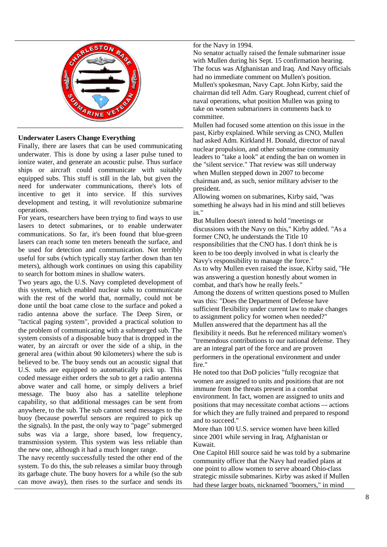

# **Underwater Lasers Change Everything**

Finally, there are lasers that can be used communicating underwater. This is done by using a laser pulse tuned to ionize water, and generate an acoustic pulse. Thus surface ships or aircraft could communicate with suitably equipped subs. This stuff is still in the lab, but given the need for underwater communications, there's lots of incentive to get it into service. If this survives development and testing, it will revolutionize submarine operations.

For years, researchers have been trying to find ways to use lasers to detect submarines, or to enable underwater communications. So far, it's been found that blue-green lasers can reach some ten meters beneath the surface, and be used for detection and communication. Not terribly useful for subs (which typically stay farther down than ten meters), although work continues on using this capability to search for bottom mines in shallow waters.

Two years ago, the U.S. Navy completed development of this system, which enabled nuclear subs to communicate with the rest of the world that, normally, could not be done until the boat came close to the surface and poked a radio antenna above the surface. The Deep Siren, or "tactical paging system", provided a practical solution to the problem of communicating with a submerged sub. The system consists of a disposable buoy that is dropped in the water, by an aircraft or over the side of a ship, in the general area (within about 90 kilometers) where the sub is believed to be. The buoy sends out an acoustic signal that U.S. subs are equipped to automatically pick up. This coded message either orders the sub to get a radio antenna above water and call home, or simply delivers a brief message. The buoy also has a satellite telephone capability, so that additional messages can be sent from anywhere, to the sub. The sub cannot send messages to the buoy (because powerful sensors are required to pick up the signals). In the past, the only way to "page" submerged subs was via a large, shore based, low frequency, transmission system. This system was less reliable than the new one, although it had a much longer range.

The navy recently successfully tested the other end of the system. To do this, the sub releases a similar buoy through its garbage chute. The buoy hovers for a while (so the sub can move away), then rises to the surface and sends its

#### for the Navy in 1994.

No senator actually raised the female submariner issue with Mullen during his Sept. 15 confirmation hearing. The focus was Afghanistan and Iraq. And Navy officials had no immediate comment on Mullen's position. Mullen'sspokesman, Navy Capt. John Kirby, said the chairman did tell Adm. Gary Roughead, current chief of naval operations, what position Mullen was going to take on women submariners in comments back to committee.

Mullen had focused some attention on this issue in the past, Kirby explained. While serving as CNO, Mullen had asked Adm. Kirkland H. Donald, director of naval nuclear propulsion, and other submarine community leaders to "take a look" at ending the ban on women in the "silent service." That review was still underway when Mullen stepped down in 2007 to become chairman and, as such, senior military adviser to the president.

Allowing women on submarines, Kirby said, "was something he always had in his mind and still believes in."

But Mullen doesn't intend to hold "meetings or discussions with the Navy on this," Kirby added. "As a former CNO, he understands the Title 10 responsibilities that the CNO has. I don't think he is keen to be too deeply involved in what is clearly the Navy's responsibility to manage the force." As to why Mullen even raised the issue, Kirby said, "He was answering a question honestly about women in combat, and that's how he really feels."

Among the dozens of written questions posed to Mullen was this: "Does the Department of Defense have sufficient flexibility under current law to make changes to assignment policy for women when needed?" Mullen answered that the department has all the flexibility it needs. But he referenced military women's "tremendous contributions to our national defense. They are an integral part of the force and are proven performers in the operational environment and under fire."

He noted too that DoD policies "fully recognize that women are assigned to units and positions that are not immune from the threats present in a combat environment. In fact, women are assigned to units and positions that may necessitate combat actions –- actions for which they are fully trained and prepared to respond and to succeed."

More than 100 U.S. service women have been killed since 2001 while serving in Iraq, Afghanistan or Kuwait.

One Capitol Hill source said he was told by a submarine community officer that the Navy had readied plans at one point to allow women to serve aboard Ohio-class strategic missile submarines. Kirby was asked if Mullen had these larger boats, nicknamed "boomers," in mind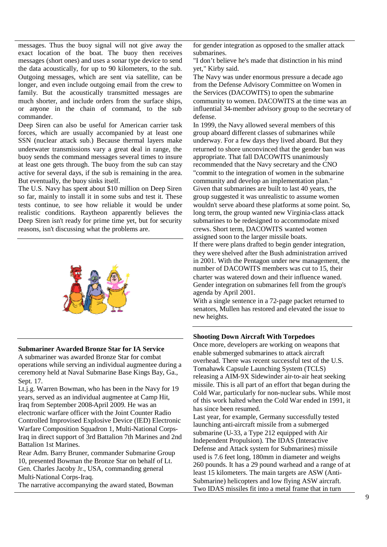messages. Thus the buoy signal will not give away the exact location of the boat. The buoy then receives messages (short ones) and uses a sonar type device to send the data acoustically, for up to 90 kilometers, to the sub. Outgoing messages, which are sent via satellite, can be longer, and even include outgoing email from the crew to family. But the acoustically transmitted messages are much shorter, and include orders from the surface ships, or anyone in the chain of command, to the sub commander.

Deep Siren can also be useful for American carrier task forces, which are usually accompanied by at least one SSN (nuclear attack sub.) Because thermal layers make underwater transmissions vary a great deal in range, the buoy sends the command messages several times to insure at least one gets through. The buoy from the sub can stay active for several days, if the sub is remaining in the area. But eventually, the buoy sinks itself.

The U.S. Navy has spent about \$10 million on Deep Siren so far, mainly to install it in some subs and test it. These tests continue, to see how reliable it would be under realistic conditions. Raytheon apparently believes the Deep Siren isn't ready for prime time yet, but for security reasons, isn't discussing what the problems are.



#### **Submariner Awarded Bronze Star for IA Service**

A submariner was awarded Bronze Star for combat operations while serving an individual augmentee during a ceremony held at Naval Submarine Base Kings Bay, Ga., Sept. 17.

Lt.j.g. Warren Bowman, who has been in the Navy for 19 years, served as an individual augmentee at Camp Hit, Iraq from September 2008-April 2009. He was an electronic warfare officer with the Joint Counter Radio Controlled Improvised Explosive Device (IED) Electronic Warfare Composition Squadron 1, Multi-National Corps-Iraq in direct support of 3rd Battalion 7th Marines and 2nd Battalion 1st Marines.

Rear Adm. Barry Bruner, commander Submarine Group 10, presented Bowman the Bronze Star on behalf of Lt. Gen. Charles Jacoby Jr., USA, commanding general Multi-National Corps-Iraq.

The narrative accompanying the award stated, Bowman

for gender integration as opposed to the smaller attack submarines.

"I don't believe he's made that distinction in his mind vet." Kirby said.

The Navy was under enormous pressure a decade ago from the Defense Advisory Committee on Women in the Services (DACOWITS) to open the submarine community to women. DACOWITS at the time was an influential 34-member advisory group to the secretary of defense.

In 1999, the Navy allowed several members of this group aboard different classes of submarines while underway. For a few days they lived aboard. But they returned to shore unconvinced that the gender ban was appropriate. That fall DACOWITS unanimously recommended that the Navy secretary and the CNO "commit to the integration of women in the submarine community and develop an implementation plan." Given that submarines are built to last 40 years, the group suggested it was unrealistic to assume women wouldn't serve aboard these platforms at some point. So, long term, the group wanted new Virginia-class attack submarines to be redesigned to accommodate mixed crews. Short term, DACOWITS wanted women assigned soon to the larger missile boats. If there were plans drafted to begin gender integration, they were shelved after the Bush administration arrived in 2001. With the Pentagon under new management, the number of DACOWITS members was cut to 15, their charter was watered down and their influence waned. Gender integration on submarines fell from the group's agenda by April 2001.

With a single sentence in a 72-page packet returned to senators, Mullen has restored and elevated the issue to new heights.

#### **Shooting Down Aircraft With Torpedoes**

Once more, developers are working on weapons that enable submerged submarines to attack aircraft overhead. There was recent successful test of the U.S. Tomahawk Capsule Launching System (TCLS) releasing a AIM-9X Sidewinder air-to-air heat seeking missile. This is all part of an effort that began during the Cold War, particularly for non-nuclear subs. While most of this work halted when the Cold War ended in 1991, it has since been resumed.

Last year, for example, Germany successfully tested launching anti-aircraft missile from a submerged submarine (U-33, a Type 212 equipped with Air Independent Propulsion). The IDAS (Interactive Defense and Attack system for Submarines) missile used is 7.6 feet long, 180mm in diameter and weighs 260 pounds. It has a 29 pound warhead and a range of at least 15 kilometers. The main targets are ASW (Anti-Submarine) helicopters and low flying ASW aircraft. Two IDAS missiles fit into a metal frame that in turn